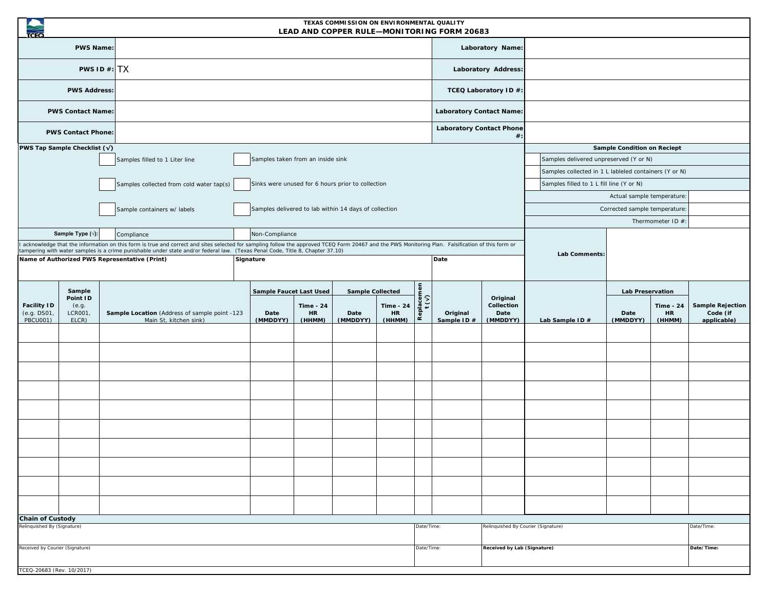|                                                        |                                                 |  |                                                                                                                                                                                                                                                                                                                                                                                                 |  |                                                       |                                         | TEXAS COMMISSION ON ENVIRONMENTAL QUALITY   |                                         |                                      | LEAD AND COPPER RULE-MONITORING FORM 20683 |                                            |                                                                                                 |                                      |                                         |                                                    |
|--------------------------------------------------------|-------------------------------------------------|--|-------------------------------------------------------------------------------------------------------------------------------------------------------------------------------------------------------------------------------------------------------------------------------------------------------------------------------------------------------------------------------------------------|--|-------------------------------------------------------|-----------------------------------------|---------------------------------------------|-----------------------------------------|--------------------------------------|--------------------------------------------|--------------------------------------------|-------------------------------------------------------------------------------------------------|--------------------------------------|-----------------------------------------|----------------------------------------------------|
|                                                        | <b>PWS Name:</b>                                |  |                                                                                                                                                                                                                                                                                                                                                                                                 |  |                                                       |                                         |                                             |                                         |                                      |                                            | Laboratory Name:                           |                                                                                                 |                                      |                                         |                                                    |
| PWS ID#: TX                                            |                                                 |  |                                                                                                                                                                                                                                                                                                                                                                                                 |  |                                                       |                                         |                                             |                                         |                                      | Laboratory Address:                        |                                            |                                                                                                 |                                      |                                         |                                                    |
| <b>PWS Address:</b>                                    |                                                 |  |                                                                                                                                                                                                                                                                                                                                                                                                 |  |                                                       |                                         |                                             |                                         |                                      | TCEQ Laboratory ID #:                      |                                            |                                                                                                 |                                      |                                         |                                                    |
| <b>PWS Contact Name:</b>                               |                                                 |  |                                                                                                                                                                                                                                                                                                                                                                                                 |  |                                                       |                                         |                                             |                                         |                                      | <b>Laboratory Contact Name:</b>            |                                            |                                                                                                 |                                      |                                         |                                                    |
| <b>PWS Contact Phone:</b>                              |                                                 |  |                                                                                                                                                                                                                                                                                                                                                                                                 |  |                                                       |                                         |                                             |                                         |                                      | <b>Laboratory Contact Phone</b>            | $#$ :                                      |                                                                                                 |                                      |                                         |                                                    |
| <b>PWS Tap Sample Checklist (<math>\sqrt{}</math>)</b> |                                                 |  |                                                                                                                                                                                                                                                                                                                                                                                                 |  |                                                       |                                         |                                             |                                         |                                      |                                            |                                            |                                                                                                 | <b>Sample Condition on Reciept</b>   |                                         |                                                    |
|                                                        |                                                 |  |                                                                                                                                                                                                                                                                                                                                                                                                 |  |                                                       |                                         |                                             |                                         |                                      |                                            |                                            |                                                                                                 |                                      |                                         |                                                    |
|                                                        |                                                 |  | Samples filled to 1 Liter line                                                                                                                                                                                                                                                                                                                                                                  |  | Samples taken from an inside sink                     |                                         |                                             |                                         |                                      |                                            |                                            | Samples delivered unpreserved (Y or N)<br>Samples collected in 1 L lableled containers (Y or N) |                                      |                                         |                                                    |
|                                                        |                                                 |  | Samples collected from cold water tap(s)                                                                                                                                                                                                                                                                                                                                                        |  | Sinks were unused for 6 hours prior to collection     |                                         |                                             |                                         |                                      |                                            |                                            | Samples filled to 1 L fill line (Y or N)                                                        |                                      |                                         |                                                    |
|                                                        |                                                 |  |                                                                                                                                                                                                                                                                                                                                                                                                 |  |                                                       |                                         |                                             |                                         |                                      |                                            |                                            |                                                                                                 | Actual sample temperature:           |                                         |                                                    |
|                                                        |                                                 |  | Sample containers w/ labels                                                                                                                                                                                                                                                                                                                                                                     |  | Samples delivered to lab within 14 days of collection |                                         |                                             |                                         |                                      |                                            |                                            |                                                                                                 | Corrected sample temperature:        |                                         |                                                    |
|                                                        |                                                 |  |                                                                                                                                                                                                                                                                                                                                                                                                 |  |                                                       |                                         |                                             |                                         |                                      |                                            |                                            |                                                                                                 |                                      | Thermometer ID #                        |                                                    |
|                                                        | Sample Type (v):                                |  | Compliance<br>acknowledge that the information on this form is true and correct and sites selected for sampling follow the approved TCEQ Form 20467 and the PWS Monitoring Plan. Falsification of this form or<br>ampering with water samples is a crime punishable under state and/or federal law. (Texas Penal Code, Title 8, Chapter 37.10)<br>Name of Authorized PWS Representative (Print) |  | Non-Compliance<br>Signature                           |                                         |                                             |                                         |                                      | Date                                       |                                            | Lab Comments:                                                                                   |                                      |                                         |                                                    |
| <b>Facility ID</b><br>(e.g. DS01,<br><b>PBCU001)</b>   | Sample<br>Point ID<br>(e.g.<br>LCR001,<br>ELCR) |  | Sample Location (Address of sample point -123<br>Main St, kitchen sink)                                                                                                                                                                                                                                                                                                                         |  | <b>Sample Faucet Last Used</b><br>Date<br>(MMDDYY)    | <b>Time - 24</b><br><b>HR</b><br>(HHMM) | <b>Sample Collected</b><br>Date<br>(MMDDYY) | <b>Time - 24</b><br><b>HR</b><br>(HHMM) | Replacemen<br>$t\left(\gamma\right)$ | Original<br>Sample ID#                     | Original<br>Collection<br>Date<br>(MMDDYY) | Lab Sample ID #                                                                                 | Lab Preservation<br>Date<br>(MMDDYY) | <b>Time - 24</b><br><b>HR</b><br>(HHMM) | <b>Sample Rejection</b><br>Code (if<br>applicable) |
|                                                        |                                                 |  |                                                                                                                                                                                                                                                                                                                                                                                                 |  |                                                       |                                         |                                             |                                         |                                      |                                            |                                            |                                                                                                 |                                      |                                         |                                                    |
|                                                        |                                                 |  |                                                                                                                                                                                                                                                                                                                                                                                                 |  |                                                       |                                         |                                             |                                         |                                      |                                            |                                            |                                                                                                 |                                      |                                         |                                                    |
|                                                        |                                                 |  |                                                                                                                                                                                                                                                                                                                                                                                                 |  |                                                       |                                         |                                             |                                         |                                      |                                            |                                            |                                                                                                 |                                      |                                         |                                                    |
|                                                        |                                                 |  |                                                                                                                                                                                                                                                                                                                                                                                                 |  |                                                       |                                         |                                             |                                         |                                      |                                            |                                            |                                                                                                 |                                      |                                         |                                                    |
|                                                        |                                                 |  |                                                                                                                                                                                                                                                                                                                                                                                                 |  |                                                       |                                         |                                             |                                         |                                      |                                            |                                            |                                                                                                 |                                      |                                         |                                                    |
|                                                        |                                                 |  |                                                                                                                                                                                                                                                                                                                                                                                                 |  |                                                       |                                         |                                             |                                         |                                      |                                            |                                            |                                                                                                 |                                      |                                         |                                                    |
|                                                        |                                                 |  |                                                                                                                                                                                                                                                                                                                                                                                                 |  |                                                       |                                         |                                             |                                         |                                      |                                            |                                            |                                                                                                 |                                      |                                         |                                                    |
|                                                        |                                                 |  |                                                                                                                                                                                                                                                                                                                                                                                                 |  |                                                       |                                         |                                             |                                         |                                      |                                            |                                            |                                                                                                 |                                      |                                         |                                                    |
|                                                        |                                                 |  |                                                                                                                                                                                                                                                                                                                                                                                                 |  |                                                       |                                         |                                             |                                         |                                      |                                            |                                            |                                                                                                 |                                      |                                         |                                                    |
|                                                        |                                                 |  |                                                                                                                                                                                                                                                                                                                                                                                                 |  |                                                       |                                         |                                             |                                         |                                      |                                            |                                            |                                                                                                 |                                      |                                         |                                                    |
| <b>Chain of Custody</b>                                |                                                 |  |                                                                                                                                                                                                                                                                                                                                                                                                 |  |                                                       |                                         |                                             |                                         |                                      |                                            |                                            |                                                                                                 |                                      |                                         |                                                    |
|                                                        | Relinquished By (Signature)                     |  |                                                                                                                                                                                                                                                                                                                                                                                                 |  |                                                       |                                         | Date/Time                                   |                                         | Relinquished By Courier (Signature)  |                                            |                                            |                                                                                                 | Date/Time:                           |                                         |                                                    |
| Received by Courier (Signature)                        |                                                 |  |                                                                                                                                                                                                                                                                                                                                                                                                 |  |                                                       | Date/Time:                              | Received by Lab (Signature)                 |                                         |                                      |                                            |                                            | Date/Time:                                                                                      |                                      |                                         |                                                    |
| TCEQ-20683 (Rev. 10/2017)                              |                                                 |  |                                                                                                                                                                                                                                                                                                                                                                                                 |  |                                                       |                                         |                                             |                                         |                                      |                                            |                                            |                                                                                                 |                                      |                                         |                                                    |